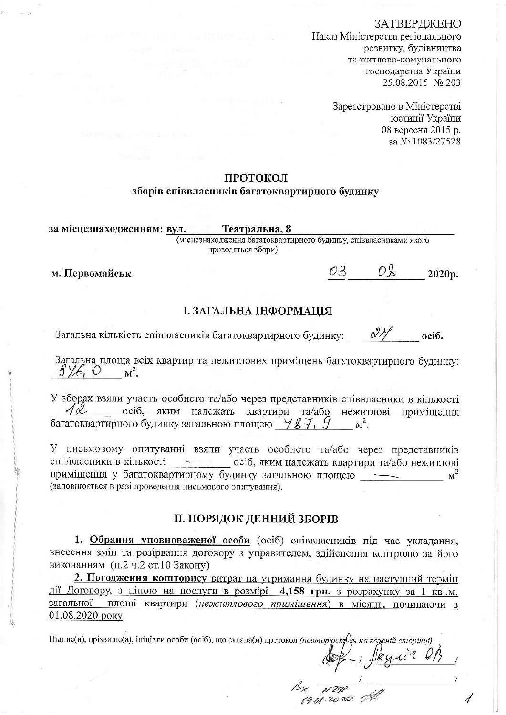# ЗАТВЕРДЖЕНО

Наказ Міністерства регіонального розвитку, будівництва та житлово-комунального господарства України 25.08.2015 № 203

> Зареєстровано в Міністерстві юстиції України 08 вересня 2015 р. за № 1083/27528

# ПРОТОКОЛ

# зборів співвласників багатоквартирного будинку

Театральна. 8 за місцезнаходженням: вул.

(місцезнаходження багатоквартирного будинку, співвласниками якого проводяться збори)

м. Первомайськ

 $O<sup>Q</sup>$ 03 2020p.

# І. ЗАГАЛЬНА ІНФОРМАЦІЯ

Загальна кількість співвласників багатоквартирного будинку:  $\alpha$  $oci6.$ 

Загальна площа всіх квартир та нежитлових приміщень багатоквартирного будинку:  $\frac{\beta}{\beta}$ ,  $\odot$   $M^2$ .

У зборах взяли участь особисто та/або через представників співвласники в кількості  $\sqrt{\alpha}$  осіб, яким належать квартири та/або нежитлові приміщення багатоквартирного будинку загальною площею  $\forall$   $g\rightarrow$ ,  $g$  $M^2$ .

У письмовому опитуванні взяли участь особисто та/або через представників співвласники в кількості \_\_\_\_\_\_\_\_ осіб, яким належать квартири та/або нежитлові приміщення у багатоквартирному будинку загальною площею  $\rm M<sup>2</sup>$ (заповнюється в разі проведення письмового опитування).

# П. ПОРЯДОК ДЕННИЙ ЗБОРІВ

1. Обрання уповноваженої особи (осіб) співвласників під час укладання, внесення змін та розірвання договору з управителем, здійснення контролю за його виконанням (п.2 ч.2 ст.10 Закону)

2. Погодження кошторису витрат на утримання будинку на наступний термін дії Договору, з ціною на послуги в розмірі 4,158 грн. з розрахунку за 1 кв.м. загальної площі квартири (нежитлового приміщення) в місяць, починаючи з 01.08.2020 року

Підпис(и), прізвище(а), ініціали особи (осіб), що склала(и) протокол (повторюєть дя на кожній сторінці)

Jleyin OB